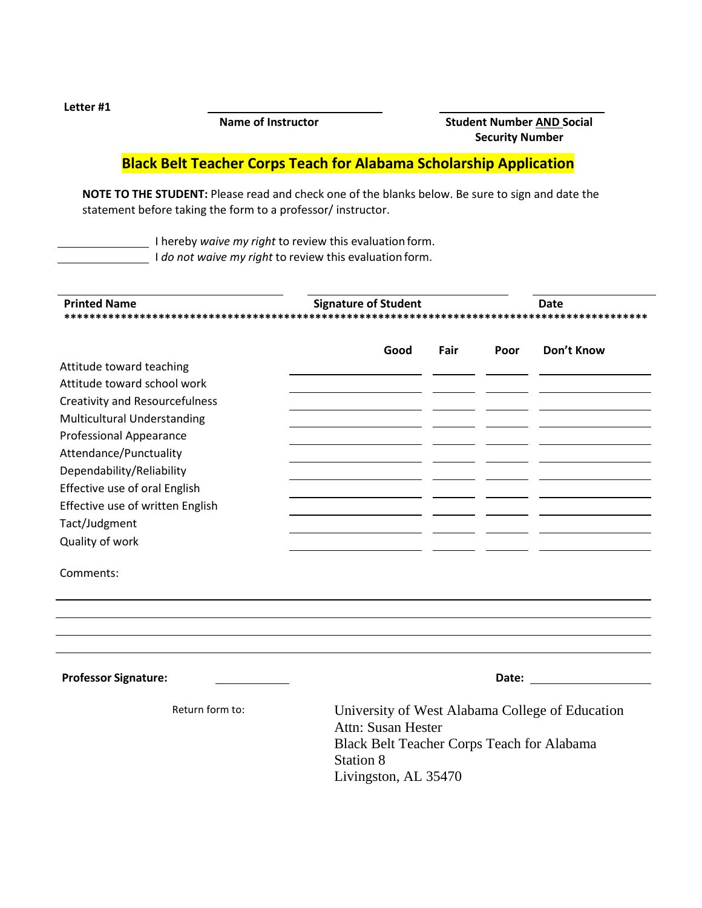Letter #1

Name of Instructor

**Student Number AND Social Security Number** 

## **Black Belt Teacher Corps Teach for Alabama Scholarship Application**

NOTE TO THE STUDENT: Please read and check one of the blanks below. Be sure to sign and date the statement before taking the form to a professor/instructor.

I hereby waive my right to review this evaluation form.

I do not waive my right to review this evaluation form.

| <b>Printed Name</b>                   | <b>Signature of Student</b> |                                                                                                                                                    |      | <b>Date</b> |  |  |
|---------------------------------------|-----------------------------|----------------------------------------------------------------------------------------------------------------------------------------------------|------|-------------|--|--|
|                                       | Good                        | Fair                                                                                                                                               | Poor | Don't Know  |  |  |
| Attitude toward teaching              |                             |                                                                                                                                                    |      |             |  |  |
| Attitude toward school work           |                             |                                                                                                                                                    |      |             |  |  |
| <b>Creativity and Resourcefulness</b> |                             |                                                                                                                                                    |      |             |  |  |
| <b>Multicultural Understanding</b>    |                             |                                                                                                                                                    |      |             |  |  |
| <b>Professional Appearance</b>        |                             |                                                                                                                                                    |      |             |  |  |
| Attendance/Punctuality                |                             |                                                                                                                                                    |      |             |  |  |
| Dependability/Reliability             |                             |                                                                                                                                                    |      |             |  |  |
| Effective use of oral English         |                             |                                                                                                                                                    |      |             |  |  |
| Effective use of written English      |                             |                                                                                                                                                    |      |             |  |  |
| Tact/Judgment                         |                             |                                                                                                                                                    |      |             |  |  |
| Quality of work                       |                             |                                                                                                                                                    |      |             |  |  |
| Comments:                             |                             |                                                                                                                                                    |      |             |  |  |
|                                       |                             |                                                                                                                                                    |      |             |  |  |
|                                       |                             |                                                                                                                                                    |      |             |  |  |
| <b>Professor Signature:</b>           |                             |                                                                                                                                                    |      |             |  |  |
| Return form to:                       | Station 8                   | University of West Alabama College of Education<br><b>Attn: Susan Hester</b><br>Black Belt Teacher Corps Teach for Alabama<br>Livingston, AL 35470 |      |             |  |  |